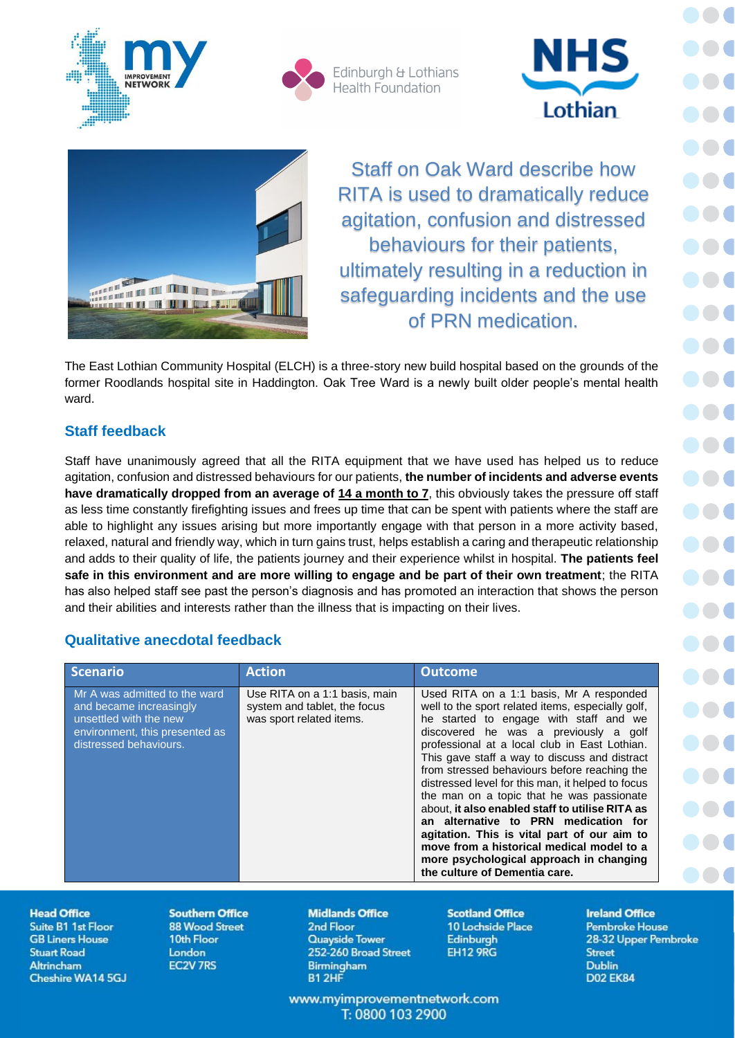



Edinburgh & Lothians **Health Foundation** 





Staff on Oak Ward describe how RITA is used to dramatically reduce agitation, confusion and distressed behaviours for their patients, ultimately resulting in a reduction in safeguarding incidents and the use of PRN medication.

The East Lothian Community Hospital (ELCH) is a three-story new build hospital based on the grounds of the former Roodlands hospital site in Haddington. Oak Tree Ward is a newly built older people's mental health ward.

# **Staff feedback**

Staff have unanimously agreed that all the RITA equipment that we have used has helped us to reduce agitation, confusion and distressed behaviours for our patients, **the number of incidents and adverse events**  have dramatically dropped from an average of 14 a month to 7, this obviously takes the pressure off staff as less time constantly firefighting issues and frees up time that can be spent with patients where the staff are able to highlight any issues arising but more importantly engage with that person in a more activity based, relaxed, natural and friendly way, which in turn gains trust, helps establish a caring and therapeutic relationship and adds to their quality of life, the patients journey and their experience whilst in hospital. **The patients feel safe in this environment and are more willing to engage and be part of their own treatment**; the RITA has also helped staff see past the person's diagnosis and has promoted an interaction that shows the person and their abilities and interests rather than the illness that is impacting on their lives.

# **Qualitative anecdotal feedback**

| <b>Scenario</b>                                                                                                                                | <b>Action</b>                                                                             | <b>Outcome</b>                                                                                                                                                                                                                                                                                                                                                                                                                                                                                                                                                                                                                                                                                          |  |
|------------------------------------------------------------------------------------------------------------------------------------------------|-------------------------------------------------------------------------------------------|---------------------------------------------------------------------------------------------------------------------------------------------------------------------------------------------------------------------------------------------------------------------------------------------------------------------------------------------------------------------------------------------------------------------------------------------------------------------------------------------------------------------------------------------------------------------------------------------------------------------------------------------------------------------------------------------------------|--|
| Mr A was admitted to the ward<br>and became increasingly<br>unsettled with the new<br>environment, this presented as<br>distressed behaviours. | Use RITA on a 1:1 basis, main<br>system and tablet, the focus<br>was sport related items. | Used RITA on a 1:1 basis, Mr A responded<br>well to the sport related items, especially golf,<br>he started to engage with staff and we<br>discovered he was a previously a golf<br>professional at a local club in East Lothian.<br>This gave staff a way to discuss and distract<br>from stressed behaviours before reaching the<br>distressed level for this man, it helped to focus<br>the man on a topic that he was passionate<br>about, it also enabled staff to utilise RITA as<br>an alternative to PRN medication for<br>agitation. This is vital part of our aim to<br>move from a historical medical model to a<br>more psychological approach in changing<br>the culture of Dementia care. |  |

### **Head Office**

Suite B1 1st Floor **GB Liners House Stuart Road Altrincham** Cheshire WA14 5GJ **Southern Office 88 Wood Street** 10th Floor London **EC2V 7RS** 

#### **Midlands Office**

2nd Floor **Quayside Tower** 252-260 Broad Street **Birmingham B1 2HF** 

**Scotland Office** 10 Lochside Place **Edinburgh EH12 9RG** 

**Ireland Office Pembroke House** 28-32 Upper Pembroke **Street Dublin D02 EK84** 

www.myimprovementnetwork.com T: 0800 103 2900